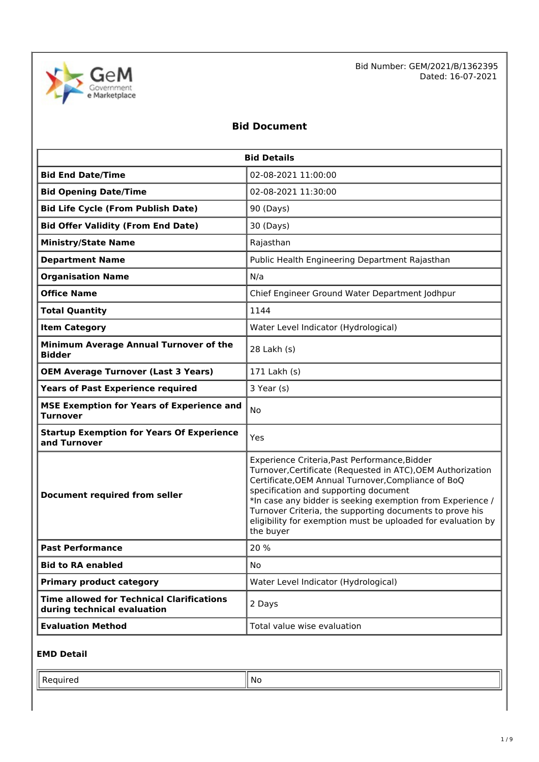

Bid Number: GEM/2021/B/1362395 Dated: 16-07-2021

## **Bid Document**

| <b>Bid Details</b>                                                              |                                                                                                                                                                                                                                                                                                                                                                                                                     |  |
|---------------------------------------------------------------------------------|---------------------------------------------------------------------------------------------------------------------------------------------------------------------------------------------------------------------------------------------------------------------------------------------------------------------------------------------------------------------------------------------------------------------|--|
| <b>Bid End Date/Time</b>                                                        | 02-08-2021 11:00:00                                                                                                                                                                                                                                                                                                                                                                                                 |  |
| <b>Bid Opening Date/Time</b>                                                    | 02-08-2021 11:30:00                                                                                                                                                                                                                                                                                                                                                                                                 |  |
| <b>Bid Life Cycle (From Publish Date)</b><br>90 (Days)                          |                                                                                                                                                                                                                                                                                                                                                                                                                     |  |
| <b>Bid Offer Validity (From End Date)</b>                                       | 30 (Days)                                                                                                                                                                                                                                                                                                                                                                                                           |  |
| <b>Ministry/State Name</b>                                                      | Rajasthan                                                                                                                                                                                                                                                                                                                                                                                                           |  |
| <b>Department Name</b>                                                          | Public Health Engineering Department Rajasthan                                                                                                                                                                                                                                                                                                                                                                      |  |
| <b>Organisation Name</b>                                                        | N/a                                                                                                                                                                                                                                                                                                                                                                                                                 |  |
| <b>Office Name</b>                                                              | Chief Engineer Ground Water Department Jodhpur                                                                                                                                                                                                                                                                                                                                                                      |  |
| <b>Total Quantity</b>                                                           | 1144                                                                                                                                                                                                                                                                                                                                                                                                                |  |
| <b>Item Category</b>                                                            | Water Level Indicator (Hydrological)                                                                                                                                                                                                                                                                                                                                                                                |  |
| Minimum Average Annual Turnover of the<br><b>Bidder</b>                         | 28 Lakh (s)                                                                                                                                                                                                                                                                                                                                                                                                         |  |
| <b>OEM Average Turnover (Last 3 Years)</b>                                      | 171 Lakh (s)                                                                                                                                                                                                                                                                                                                                                                                                        |  |
| <b>Years of Past Experience required</b><br>3 Year (s)                          |                                                                                                                                                                                                                                                                                                                                                                                                                     |  |
| <b>MSE Exemption for Years of Experience and</b><br><b>Turnover</b>             | <b>No</b>                                                                                                                                                                                                                                                                                                                                                                                                           |  |
| <b>Startup Exemption for Years Of Experience</b><br>and Turnover                | Yes                                                                                                                                                                                                                                                                                                                                                                                                                 |  |
| <b>Document required from seller</b>                                            | Experience Criteria, Past Performance, Bidder<br>Turnover, Certificate (Requested in ATC), OEM Authorization<br>Certificate, OEM Annual Turnover, Compliance of BoQ<br>specification and supporting document<br>*In case any bidder is seeking exemption from Experience /<br>Turnover Criteria, the supporting documents to prove his<br>eligibility for exemption must be uploaded for evaluation by<br>the buyer |  |
| <b>Past Performance</b>                                                         | 20 %                                                                                                                                                                                                                                                                                                                                                                                                                |  |
| <b>Bid to RA enabled</b>                                                        | No                                                                                                                                                                                                                                                                                                                                                                                                                  |  |
| <b>Primary product category</b>                                                 | Water Level Indicator (Hydrological)                                                                                                                                                                                                                                                                                                                                                                                |  |
| <b>Time allowed for Technical Clarifications</b><br>during technical evaluation | 2 Days                                                                                                                                                                                                                                                                                                                                                                                                              |  |
| <b>Evaluation Method</b>                                                        | Total value wise evaluation                                                                                                                                                                                                                                                                                                                                                                                         |  |

### **EMD Detail**

 $\mathsf{Required}$   $\|\mathsf{No}\|$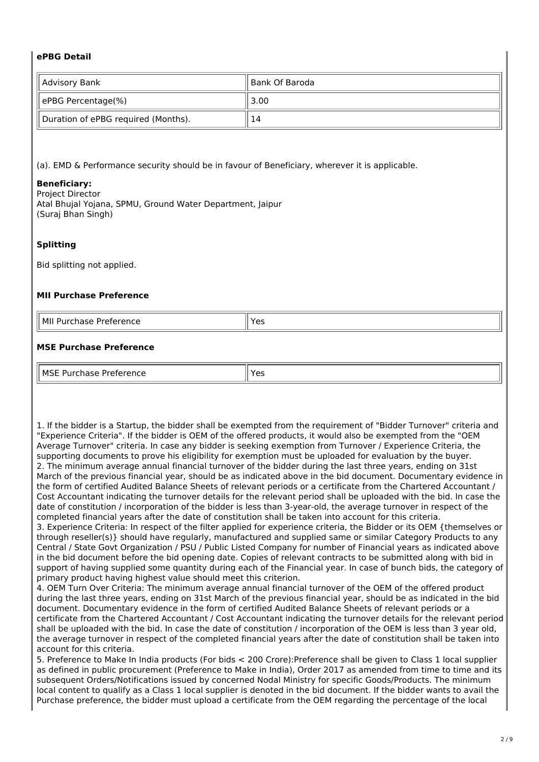#### **ePBG Detail**

| Advisory Bank                       | ll Bank Of Baroda |
|-------------------------------------|-------------------|
| ePBG Percentage(%)                  | 3.00              |
| Duration of ePBG required (Months). | 14                |

(a). EMD & Performance security should be in favour of Beneficiary, wherever it is applicable.

#### **Beneficiary:**

Project Director Atal Bhujal Yojana, SPMU, Ground Water Department, Jaipur (Suraj Bhan Singh)

#### **Splitting**

Bid splitting not applied.

#### **MII Purchase Preference**

| l MI<br>Iirationcon<br>۹۲۴<br>Purch<br>۰ΓΑ.<br>ence<br>Pro <sup>-</sup> | ، د |
|-------------------------------------------------------------------------|-----|
| .                                                                       | . ر |

#### **MSE Purchase Preference**

| II MSF<br>.<br>، ۱۲ ۱۰ ۱<br>1 I I<br>э.<br>.<br>. | כ ט |
|---------------------------------------------------|-----|

1. If the bidder is a Startup, the bidder shall be exempted from the requirement of "Bidder Turnover" criteria and "Experience Criteria". If the bidder is OEM of the offered products, it would also be exempted from the "OEM Average Turnover" criteria. In case any bidder is seeking exemption from Turnover / Experience Criteria, the supporting documents to prove his eligibility for exemption must be uploaded for evaluation by the buyer. 2. The minimum average annual financial turnover of the bidder during the last three years, ending on 31st March of the previous financial year, should be as indicated above in the bid document. Documentary evidence in the form of certified Audited Balance Sheets of relevant periods or a certificate from the Chartered Accountant / Cost Accountant indicating the turnover details for the relevant period shall be uploaded with the bid. In case the date of constitution / incorporation of the bidder is less than 3-year-old, the average turnover in respect of the completed financial years after the date of constitution shall be taken into account for this criteria.

3. Experience Criteria: In respect of the filter applied for experience criteria, the Bidder or its OEM {themselves or through reseller(s)} should have regularly, manufactured and supplied same or similar Category Products to any Central / State Govt Organization / PSU / Public Listed Company for number of Financial years as indicated above in the bid document before the bid opening date. Copies of relevant contracts to be submitted along with bid in support of having supplied some quantity during each of the Financial year. In case of bunch bids, the category of primary product having highest value should meet this criterion.

4. OEM Turn Over Criteria: The minimum average annual financial turnover of the OEM of the offered product during the last three years, ending on 31st March of the previous financial year, should be as indicated in the bid document. Documentary evidence in the form of certified Audited Balance Sheets of relevant periods or a certificate from the Chartered Accountant / Cost Accountant indicating the turnover details for the relevant period shall be uploaded with the bid. In case the date of constitution / incorporation of the OEM is less than 3 year old, the average turnover in respect of the completed financial years after the date of constitution shall be taken into account for this criteria.

5. Preference to Make In India products (For bids < 200 Crore):Preference shall be given to Class 1 local supplier as defined in public procurement (Preference to Make in India), Order 2017 as amended from time to time and its subsequent Orders/Notifications issued by concerned Nodal Ministry for specific Goods/Products. The minimum local content to qualify as a Class 1 local supplier is denoted in the bid document. If the bidder wants to avail the Purchase preference, the bidder must upload a certificate from the OEM regarding the percentage of the local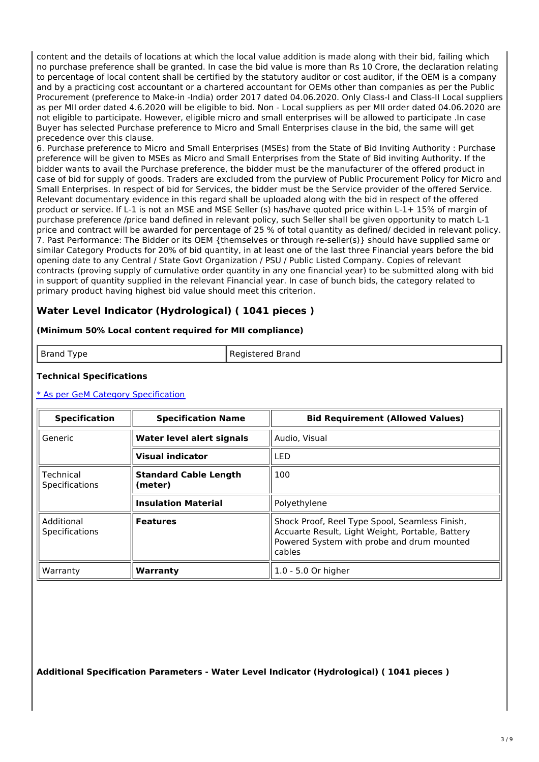content and the details of locations at which the local value addition is made along with their bid, failing which no purchase preference shall be granted. In case the bid value is more than Rs 10 Crore, the declaration relating to percentage of local content shall be certified by the statutory auditor or cost auditor, if the OEM is a company and by a practicing cost accountant or a chartered accountant for OEMs other than companies as per the Public Procurement (preference to Make-in -India) order 2017 dated 04.06.2020. Only Class-I and Class-II Local suppliers as per MII order dated 4.6.2020 will be eligible to bid. Non - Local suppliers as per MII order dated 04.06.2020 are not eligible to participate. However, eligible micro and small enterprises will be allowed to participate .In case Buyer has selected Purchase preference to Micro and Small Enterprises clause in the bid, the same will get precedence over this clause.

6. Purchase preference to Micro and Small Enterprises (MSEs) from the State of Bid Inviting Authority : Purchase preference will be given to MSEs as Micro and Small Enterprises from the State of Bid inviting Authority. If the bidder wants to avail the Purchase preference, the bidder must be the manufacturer of the offered product in case of bid for supply of goods. Traders are excluded from the purview of Public Procurement Policy for Micro and Small Enterprises. In respect of bid for Services, the bidder must be the Service provider of the offered Service. Relevant documentary evidence in this regard shall be uploaded along with the bid in respect of the offered product or service. If L-1 is not an MSE and MSE Seller (s) has/have quoted price within L-1+ 15% of margin of purchase preference /price band defined in relevant policy, such Seller shall be given opportunity to match L-1 price and contract will be awarded for percentage of 25 % of total quantity as defined/ decided in relevant policy. 7. Past Performance: The Bidder or its OEM {themselves or through re-seller(s)} should have supplied same or similar Category Products for 20% of bid quantity, in at least one of the last three Financial years before the bid opening date to any Central / State Govt Organization / PSU / Public Listed Company. Copies of relevant contracts (proving supply of cumulative order quantity in any one financial year) to be submitted along with bid in support of quantity supplied in the relevant Financial year. In case of bunch bids, the category related to primary product having highest bid value should meet this criterion.

## **Water Level Indicator (Hydrological) ( 1041 pieces )**

#### **(Minimum 50% Local content required for MII compliance)**

Brand Type **Registered Brand** 

#### **Technical Specifications**

#### \* As per GeM Category [Specification](https://bidplus.gem.gov.in/bidding/bid/showCatalogue/D8VQ1ppeRDArmlxtp9C5hgJoJuf-jsKYwOPieuG8Pbo)

| <b>Specification</b>                | <b>Specification Name</b>               | <b>Bid Requirement (Allowed Values)</b>                                                                                                                    |
|-------------------------------------|-----------------------------------------|------------------------------------------------------------------------------------------------------------------------------------------------------------|
| Generic                             | Water level alert signals               | Audio, Visual                                                                                                                                              |
|                                     | <b>Visual indicator</b>                 | <b>LED</b>                                                                                                                                                 |
| Technical<br>Specifications         | <b>Standard Cable Length</b><br>(meter) | 100                                                                                                                                                        |
|                                     | <b>Insulation Material</b>              | Polyethylene                                                                                                                                               |
| Additional<br><b>Specifications</b> | <b>Features</b>                         | Shock Proof, Reel Type Spool, Seamless Finish,<br>Accuarte Result, Light Weight, Portable, Battery<br>Powered System with probe and drum mounted<br>cables |
| Warranty                            | Warranty                                | $1.0 - 5.0$ Or higher                                                                                                                                      |

**Additional Specification Parameters - Water Level Indicator (Hydrological) ( 1041 pieces )**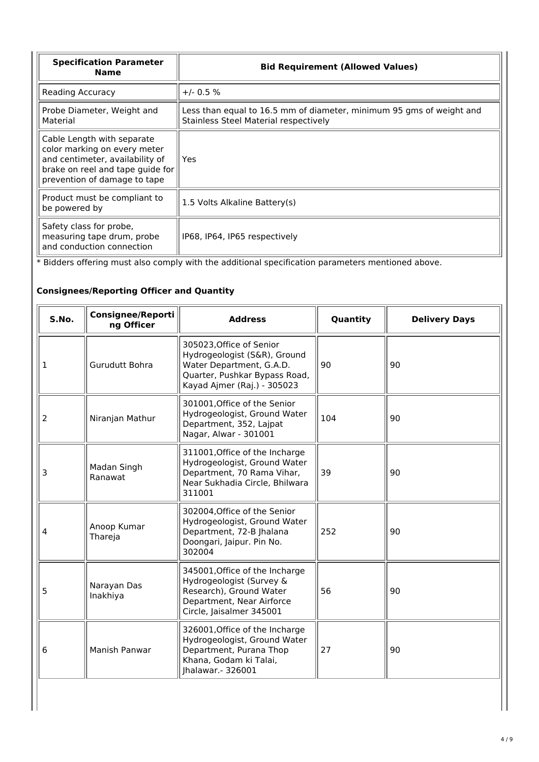| <b>Specification Parameter</b><br><b>Name</b>                                                                                                                     | <b>Bid Requirement (Allowed Values)</b>                                                                       |  |
|-------------------------------------------------------------------------------------------------------------------------------------------------------------------|---------------------------------------------------------------------------------------------------------------|--|
| Reading Accuracy                                                                                                                                                  | $+/- 0.5 %$                                                                                                   |  |
| Probe Diameter, Weight and<br>Material                                                                                                                            | Less than equal to 16.5 mm of diameter, minimum 95 gms of weight and<br>Stainless Steel Material respectively |  |
| Cable Length with separate<br>color marking on every meter<br>and centimeter, availability of<br>brake on reel and tape quide for<br>prevention of damage to tape | Yes                                                                                                           |  |
| Product must be compliant to<br>be powered by                                                                                                                     | 1.5 Volts Alkaline Battery(s)                                                                                 |  |
| Safety class for probe,<br>measuring tape drum, probe<br>and conduction connection                                                                                | IP68, IP64, IP65 respectively                                                                                 |  |

\* Bidders offering must also comply with the additional specification parameters mentioned above.

## **Consignees/Reporting Officer and Quantity**

| S.No. | <b>Consignee/Reporti</b><br>ng Officer | <b>Address</b>                                                                                                                                       | Quantity | <b>Delivery Days</b> |
|-------|----------------------------------------|------------------------------------------------------------------------------------------------------------------------------------------------------|----------|----------------------|
| 1     | Gurudutt Bohra                         | 305023, Office of Senior<br>Hydrogeologist (S&R), Ground<br>Water Department, G.A.D.<br>Quarter, Pushkar Bypass Road,<br>Kayad Ajmer (Raj.) - 305023 | 90       | 90                   |
| 2     | Niranjan Mathur                        | 301001, Office of the Senior<br>Hydrogeologist, Ground Water<br>Department, 352, Lajpat<br>Nagar, Alwar - 301001                                     | 104      | 90                   |
| 3     | Madan Singh<br>Ranawat                 | 311001, Office of the Incharge<br>Hydrogeologist, Ground Water<br>Department, 70 Rama Vihar,<br>Near Sukhadia Circle, Bhilwara<br>311001             | 39       | 90                   |
| 4     | Anoop Kumar<br>Thareja                 | 302004, Office of the Senior<br>Hydrogeologist, Ground Water<br>Department, 72-B Jhalana<br>Doongari, Jaipur. Pin No.<br>302004                      | 252      | 90                   |
| 5     | Narayan Das<br>Inakhiya                | 345001, Office of the Incharge<br>Hydrogeologist (Survey &<br>Research), Ground Water<br>Department, Near Airforce<br>Circle, Jaisalmer 345001       | 56       | 90                   |
| 6     | Manish Panwar                          | 326001, Office of the Incharge<br>Hydrogeologist, Ground Water<br>Department, Purana Thop<br>Khana, Godam ki Talai,<br>Ihalawar. - 326001            | 27       | 90                   |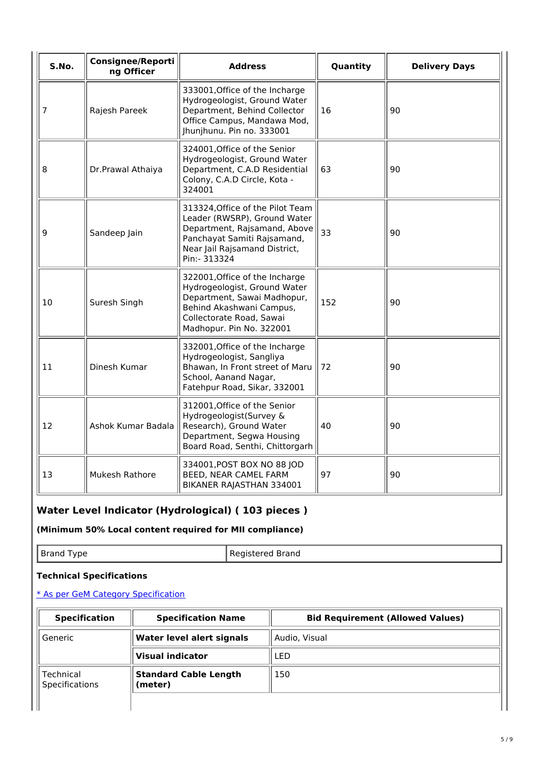| S.No. | <b>Consignee/Reporti</b><br>ng Officer | <b>Address</b>                                                                                                                                                                    | Quantity | <b>Delivery Days</b> |
|-------|----------------------------------------|-----------------------------------------------------------------------------------------------------------------------------------------------------------------------------------|----------|----------------------|
| 7     | Rajesh Pareek                          | 333001, Office of the Incharge<br>Hydrogeologist, Ground Water<br>Department, Behind Collector<br>Office Campus, Mandawa Mod,<br>Jhunjhunu. Pin no. 333001                        | 16       | 90                   |
| 8     | Dr.Prawal Athaiya                      | 324001, Office of the Senior<br>Hydrogeologist, Ground Water<br>Department, C.A.D Residential<br>Colony, C.A.D Circle, Kota -<br>324001                                           | 63       | 90                   |
| 9     | Sandeep Jain                           | 313324, Office of the Pilot Team<br>Leader (RWSRP), Ground Water<br>Department, Rajsamand, Above<br>Panchayat Samiti Rajsamand,<br>Near Jail Rajsamand District,<br>Pin:- 313324  | 33       | 90                   |
| 10    | Suresh Singh                           | 322001, Office of the Incharge<br>Hydrogeologist, Ground Water<br>Department, Sawai Madhopur,<br>Behind Akashwani Campus,<br>Collectorate Road, Sawai<br>Madhopur. Pin No. 322001 | 152      | 90                   |
| 11    | Dinesh Kumar                           | 332001, Office of the Incharge<br>Hydrogeologist, Sangliya<br>Bhawan, In Front street of Maru<br>School, Aanand Nagar,<br>Fatehpur Road, Sikar, 332001                            | 72       | 90                   |
| 12    | Ashok Kumar Badala                     | 312001, Office of the Senior<br>Hydrogeologist(Survey &<br>Research), Ground Water<br>Department, Segwa Housing<br>Board Road, Senthi, Chittorgarh                                | 40       | 90                   |
| 13    | <b>Mukesh Rathore</b>                  | 334001, POST BOX NO 88 JOD<br>BEED, NEAR CAMEL FARM<br>BIKANER RAJASTHAN 334001                                                                                                   | 97       | 90                   |

# **Water Level Indicator (Hydrological) ( 103 pieces )**

**(Minimum 50% Local content required for MII compliance)**

| ъ.<br>.<br>$- \cdot - \cdot -$<br>. . | 'HU<br>$\sim$ $\sim$ $\sim$ $\sim$ $\sim$ $\sim$ $\sim$<br>. . |
|---------------------------------------|----------------------------------------------------------------|
|---------------------------------------|----------------------------------------------------------------|

#### **Technical Specifications**

## \* As per GeM Category [Specification](https://bidplus.gem.gov.in/bidding/bid/showCatalogue/oJmtFm2txu21rMhsROqJFtLT15nfZlp7OyI96ngE6V8)

| <b>Specification</b>               | <b>Specification Name</b>               | <b>Bid Requirement (Allowed Values)</b> |  |
|------------------------------------|-----------------------------------------|-----------------------------------------|--|
| Generic                            | Water level alert signals               | Audio, Visual                           |  |
|                                    | <b>Visual indicator</b>                 | LED                                     |  |
| Technical<br><b>Specifications</b> | <b>Standard Cable Length</b><br>(meter) | 150                                     |  |
|                                    |                                         |                                         |  |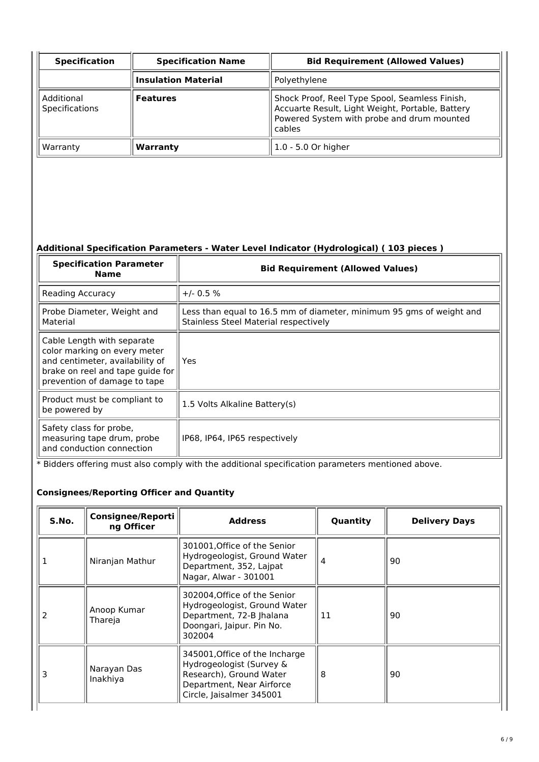| <b>Specification</b>                | <b>Specification Name</b>  | <b>Bid Requirement (Allowed Values)</b>                                                                                                                    |  |
|-------------------------------------|----------------------------|------------------------------------------------------------------------------------------------------------------------------------------------------------|--|
|                                     | <b>Insulation Material</b> | Polyethylene                                                                                                                                               |  |
| Additional<br><b>Specifications</b> | <b>Features</b>            | Shock Proof, Reel Type Spool, Seamless Finish,<br>Accuarte Result, Light Weight, Portable, Battery<br>Powered System with probe and drum mounted<br>cables |  |
| Warranty                            | Warranty                   | 1.0 - 5.0 Or higher                                                                                                                                        |  |

# **Additional Specification Parameters - Water Level Indicator (Hydrological) ( 103 pieces )**

| <b>Specification Parameter</b><br><b>Name</b>                                                                                                                     | <b>Bid Requirement (Allowed Values)</b>                                                                       |
|-------------------------------------------------------------------------------------------------------------------------------------------------------------------|---------------------------------------------------------------------------------------------------------------|
| Reading Accuracy                                                                                                                                                  | $+/- 0.5 \%$                                                                                                  |
| Probe Diameter, Weight and<br>Material                                                                                                                            | Less than equal to 16.5 mm of diameter, minimum 95 gms of weight and<br>Stainless Steel Material respectively |
| Cable Length with separate<br>color marking on every meter<br>and centimeter, availability of<br>brake on reel and tape guide for<br>prevention of damage to tape | Yes                                                                                                           |
| Product must be compliant to<br>be powered by                                                                                                                     | 1.5 Volts Alkaline Battery(s)                                                                                 |
| Safety class for probe,<br>measuring tape drum, probe<br>and conduction connection                                                                                | IP68, IP64, IP65 respectively                                                                                 |

\* Bidders offering must also comply with the additional specification parameters mentioned above.

### **Consignees/Reporting Officer and Quantity**

| S.No. | <b>Consignee/Reporti</b><br>ng Officer | <b>Address</b>                                                                                                                                 | Quantity | <b>Delivery Days</b> |
|-------|----------------------------------------|------------------------------------------------------------------------------------------------------------------------------------------------|----------|----------------------|
|       | Niranjan Mathur                        | 301001, Office of the Senior<br>Hydrogeologist, Ground Water<br>Department, 352, Lajpat<br>Nagar, Alwar - 301001                               | 4        | 90                   |
|       | Anoop Kumar<br>Thareja                 | 302004, Office of the Senior<br>Hydrogeologist, Ground Water<br>Department, 72-B Jhalana<br>Doongari, Jaipur. Pin No.<br>302004                | 11       | 90                   |
|       | Narayan Das<br>Inakhiya                | 345001, Office of the Incharge<br>Hydrogeologist (Survey &<br>Research), Ground Water<br>Department, Near Airforce<br>Circle, Jaisalmer 345001 | 8        | 90                   |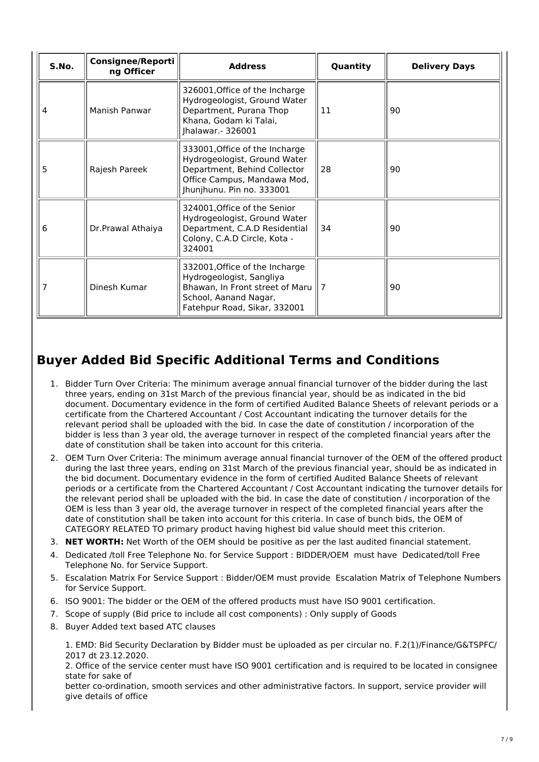| S.No. | Consignee/Reporti<br>ng Officer | <b>Address</b>                                                                                                                                             | Quantity       | <b>Delivery Days</b> |
|-------|---------------------------------|------------------------------------------------------------------------------------------------------------------------------------------------------------|----------------|----------------------|
| 4     | Manish Panwar                   | 326001, Office of the Incharge<br>Hydrogeologist, Ground Water<br>Department, Purana Thop<br>Khana, Godam ki Talai,<br>Jhalawar.- 326001                   | 11             | 90                   |
| 5     | Rajesh Pareek                   | 333001, Office of the Incharge<br>Hydrogeologist, Ground Water<br>Department, Behind Collector<br>Office Campus, Mandawa Mod,<br>Jhunjhunu. Pin no. 333001 | 28             | 90                   |
| 6     | Dr.Prawal Athaiya               | 324001, Office of the Senior<br>Hydrogeologist, Ground Water<br>Department, C.A.D Residential<br>Colony, C.A.D Circle, Kota -<br>324001                    | 34             | 90                   |
|       | Dinesh Kumar                    | 332001, Office of the Incharge<br>Hydrogeologist, Sangliya<br>Bhawan, In Front street of Maru<br>School, Aanand Nagar,<br>Fatehpur Road, Sikar, 332001     | $\overline{7}$ | 90                   |

# **Buyer Added Bid Specific Additional Terms and Conditions**

- 1. Bidder Turn Over Criteria: The minimum average annual financial turnover of the bidder during the last three years, ending on 31st March of the previous financial year, should be as indicated in the bid document. Documentary evidence in the form of certified Audited Balance Sheets of relevant periods or a certificate from the Chartered Accountant / Cost Accountant indicating the turnover details for the relevant period shall be uploaded with the bid. In case the date of constitution / incorporation of the bidder is less than 3 year old, the average turnover in respect of the completed financial years after the date of constitution shall be taken into account for this criteria.
- 2. OEM Turn Over Criteria: The minimum average annual financial turnover of the OEM of the offered product during the last three years, ending on 31st March of the previous financial year, should be as indicated in the bid document. Documentary evidence in the form of certified Audited Balance Sheets of relevant periods or a certificate from the Chartered Accountant / Cost Accountant indicating the turnover details for the relevant period shall be uploaded with the bid. In case the date of constitution / incorporation of the OEM is less than 3 year old, the average turnover in respect of the completed financial years after the date of constitution shall be taken into account for this criteria. In case of bunch bids, the OEM of CATEGORY RELATED TO primary product having highest bid value should meet this criterion.
- 3. **NET WORTH:** Net Worth of the OEM should be positive as per the last audited financial statement.
- 4. Dedicated /toll Free Telephone No. for Service Support : BIDDER/OEM must have Dedicated/toll Free Telephone No. for Service Support.
- 5. Escalation Matrix For Service Support : Bidder/OEM must provide Escalation Matrix of Telephone Numbers for Service Support.
- 6. ISO 9001: The bidder or the OEM of the offered products must have ISO 9001 certification.
- 7. Scope of supply (Bid price to include all cost components) : Only supply of Goods
- 8. Buyer Added text based ATC clauses

1. EMD: Bid Security Declaration by Bidder must be uploaded as per circular no. F.2(1)/Finance/G&TSPFC/ 2017 dt 23.12.2020.

2. Office of the service center must have ISO 9001 certification and is required to be located in consignee state for sake of

better co-ordination, smooth services and other administrative factors. In support, service provider will give details of office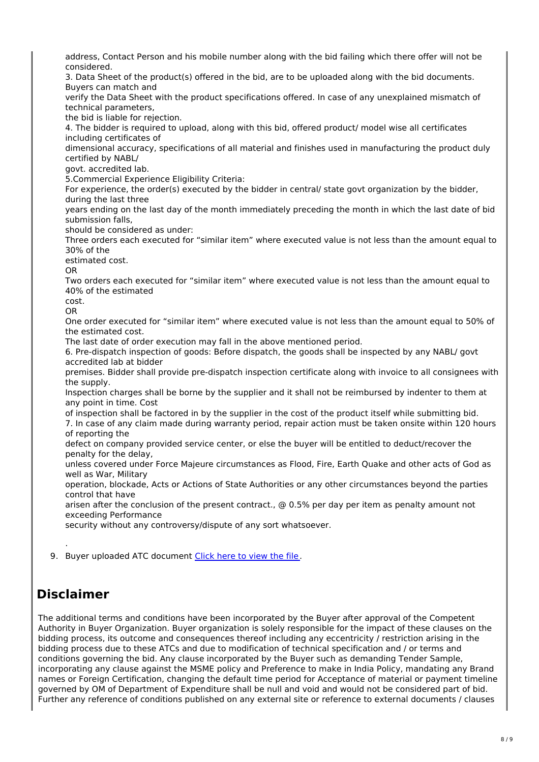address, Contact Person and his mobile number along with the bid failing which there offer will not be considered.

3. Data Sheet of the product(s) offered in the bid, are to be uploaded along with the bid documents. Buyers can match and

verify the Data Sheet with the product specifications offered. In case of any unexplained mismatch of technical parameters,

the bid is liable for rejection.

4. The bidder is required to upload, along with this bid, offered product/ model wise all certificates including certificates of

dimensional accuracy, specifications of all material and finishes used in manufacturing the product duly certified by NABL/

govt. accredited lab.

5.Commercial Experience Eligibility Criteria:

For experience, the order(s) executed by the bidder in central/ state govt organization by the bidder, during the last three

years ending on the last day of the month immediately preceding the month in which the last date of bid submission falls,

should be considered as under:

Three orders each executed for "similar item" where executed value is not less than the amount equal to 30% of the

estimated cost.

OR

Two orders each executed for "similar item" where executed value is not less than the amount equal to 40% of the estimated

cost. OR

One order executed for "similar item" where executed value is not less than the amount equal to 50% of

the estimated cost. The last date of order execution may fall in the above mentioned period.

6. Pre-dispatch inspection of goods: Before dispatch, the goods shall be inspected by any NABL/ govt accredited lab at bidder

premises. Bidder shall provide pre-dispatch inspection certificate along with invoice to all consignees with the supply.

Inspection charges shall be borne by the supplier and it shall not be reimbursed by indenter to them at any point in time. Cost

of inspection shall be factored in by the supplier in the cost of the product itself while submitting bid.

7. In case of any claim made during warranty period, repair action must be taken onsite within 120 hours of reporting the

defect on company provided service center, or else the buyer will be entitled to deduct/recover the penalty for the delay,

unless covered under Force Majeure circumstances as Flood, Fire, Earth Quake and other acts of God as well as War, Military

operation, blockade, Acts or Actions of State Authorities or any other circumstances beyond the parties control that have

arisen after the conclusion of the present contract., @ 0.5% per day per item as penalty amount not exceeding Performance

security without any controversy/dispute of any sort whatsoever.

9. Buyer uploaded ATC document [Click](https://fulfilment.gem.gov.in/contract/slafds?fileDownloadPath=SLA_UPLOAD_PATH/2021/Jul/GEM_2021_B_1362395/CLM0010/Upload_005f9b83-c025-4fe9-8561-ef496b5c9d6a_segwdjpr.docx) here to view the file.

# **Disclaimer**

.

The additional terms and conditions have been incorporated by the Buyer after approval of the Competent Authority in Buyer Organization. Buyer organization is solely responsible for the impact of these clauses on the bidding process, its outcome and consequences thereof including any eccentricity / restriction arising in the bidding process due to these ATCs and due to modification of technical specification and / or terms and conditions governing the bid. Any clause incorporated by the Buyer such as demanding Tender Sample, incorporating any clause against the MSME policy and Preference to make in India Policy, mandating any Brand names or Foreign Certification, changing the default time period for Acceptance of material or payment timeline governed by OM of Department of Expenditure shall be null and void and would not be considered part of bid. Further any reference of conditions published on any external site or reference to external documents / clauses